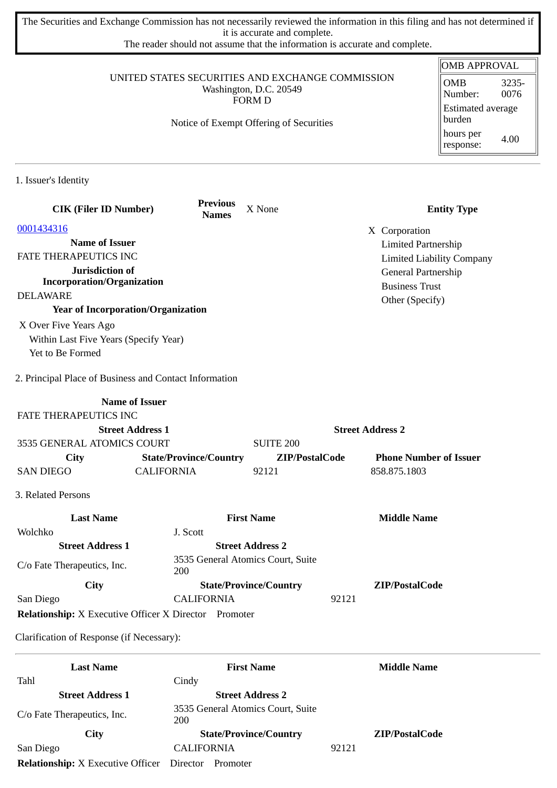The Securities and Exchange Commission has not necessarily reviewed the information in this filing and has not determined if it is accurate and complete.

The reader should not assume that the information is accurate and complete.

#### UNITED STATES SECURITIES AND EXCHANGE COMMISSION Washington, D.C. 20549 FORM D

Notice of Exempt Offering of Securities

#### OMB APPROVAL OMB Number: 3235- 0076 Estimated average burden hours per response: 4.00

1. Issuer's Identity

| <b>CIK (Filer ID Number)</b>                                 |                               | <b>Previous</b><br><b>Names</b> | X None                            |                         | <b>Entity Type</b>               |
|--------------------------------------------------------------|-------------------------------|---------------------------------|-----------------------------------|-------------------------|----------------------------------|
| 0001434316                                                   |                               |                                 |                                   |                         | X Corporation                    |
| <b>Name of Issuer</b>                                        |                               |                                 |                                   |                         | <b>Limited Partnership</b>       |
| FATE THERAPEUTICS INC                                        |                               |                                 |                                   |                         | <b>Limited Liability Company</b> |
| Jurisdiction of                                              |                               |                                 |                                   |                         | General Partnership              |
| <b>Incorporation/Organization</b>                            |                               |                                 |                                   |                         | <b>Business Trust</b>            |
| <b>DELAWARE</b>                                              |                               |                                 |                                   |                         | Other (Specify)                  |
| <b>Year of Incorporation/Organization</b>                    |                               |                                 |                                   |                         |                                  |
| X Over Five Years Ago                                        |                               |                                 |                                   |                         |                                  |
| Within Last Five Years (Specify Year)                        |                               |                                 |                                   |                         |                                  |
| Yet to Be Formed                                             |                               |                                 |                                   |                         |                                  |
| 2. Principal Place of Business and Contact Information       |                               |                                 |                                   |                         |                                  |
|                                                              | <b>Name of Issuer</b>         |                                 |                                   |                         |                                  |
| FATE THERAPEUTICS INC                                        |                               |                                 |                                   |                         |                                  |
|                                                              | <b>Street Address 1</b>       |                                 |                                   | <b>Street Address 2</b> |                                  |
| 3535 GENERAL ATOMICS COURT                                   |                               |                                 | <b>SUITE 200</b>                  |                         |                                  |
| <b>City</b>                                                  | <b>State/Province/Country</b> |                                 | ZIP/PostalCode                    |                         | <b>Phone Number of Issuer</b>    |
| <b>SAN DIEGO</b>                                             | <b>CALIFORNIA</b>             |                                 | 92121                             |                         | 858.875.1803                     |
| 3. Related Persons                                           |                               |                                 |                                   |                         |                                  |
| <b>Last Name</b>                                             |                               |                                 | <b>First Name</b>                 |                         | <b>Middle Name</b>               |
| Wolchko                                                      | J. Scott                      |                                 |                                   |                         |                                  |
| <b>Street Address 1</b>                                      |                               |                                 | <b>Street Address 2</b>           |                         |                                  |
| C/o Fate Therapeutics, Inc.                                  | 200                           |                                 | 3535 General Atomics Court, Suite |                         |                                  |
| City                                                         |                               |                                 | <b>State/Province/Country</b>     |                         | ZIP/PostalCode                   |
| San Diego                                                    | <b>CALIFORNIA</b>             |                                 |                                   | 92121                   |                                  |
| <b>Relationship:</b> X Executive Officer X Director Promoter |                               |                                 |                                   |                         |                                  |
| Clarification of Response (if Necessary):                    |                               |                                 |                                   |                         |                                  |

| <b>Last Name</b>                         | <b>First Name</b>                        |       | <b>Middle Name</b>    |
|------------------------------------------|------------------------------------------|-------|-----------------------|
| Tahl                                     | Cindy                                    |       |                       |
| <b>Street Address 1</b>                  | <b>Street Address 2</b>                  |       |                       |
| C/o Fate Therapeutics, Inc.              | 3535 General Atomics Court, Suite<br>200 |       |                       |
| <b>City</b>                              | <b>State/Province/Country</b>            |       | <b>ZIP/PostalCode</b> |
| San Diego                                | <b>CALIFORNIA</b>                        | 92121 |                       |
| <b>Relationship:</b> X Executive Officer | Director<br>Promoter                     |       |                       |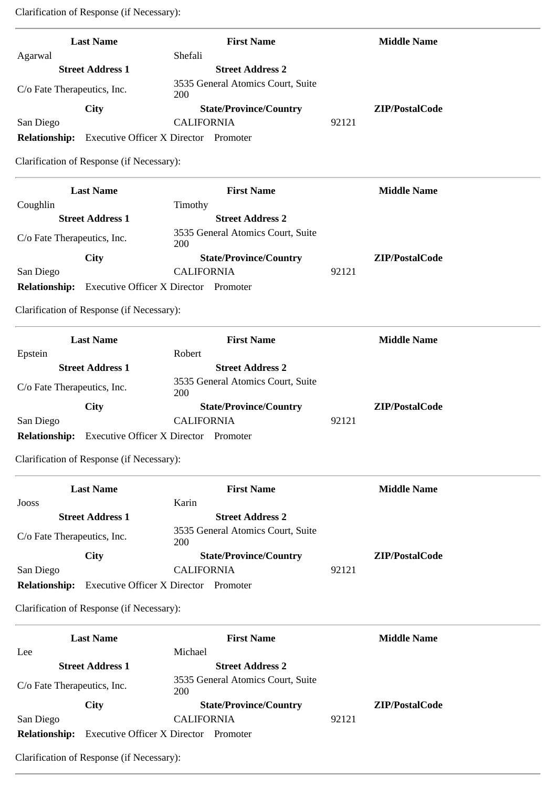Clarification of Response (if Necessary):

| <b>Last Name</b>                                           | <b>First Name</b>                            | <b>Middle Name</b> |
|------------------------------------------------------------|----------------------------------------------|--------------------|
| Agarwal                                                    | Shefali                                      |                    |
| <b>Street Address 1</b>                                    | <b>Street Address 2</b>                      |                    |
| C/o Fate Therapeutics, Inc.                                | 3535 General Atomics Court, Suite<br>200     |                    |
| <b>City</b>                                                | <b>State/Province/Country</b>                | ZIP/PostalCode     |
| San Diego                                                  | <b>CALIFORNIA</b>                            | 92121              |
| <b>Relationship:</b>                                       | <b>Executive Officer X Director Promoter</b> |                    |
| Clarification of Response (if Necessary):                  |                                              |                    |
| <b>Last Name</b>                                           | <b>First Name</b>                            | <b>Middle Name</b> |
| Coughlin                                                   | Timothy                                      |                    |
| <b>Street Address 1</b>                                    | <b>Street Address 2</b>                      |                    |
| C/o Fate Therapeutics, Inc.                                | 3535 General Atomics Court, Suite<br>200     |                    |
| City                                                       | <b>State/Province/Country</b>                | ZIP/PostalCode     |
| San Diego                                                  | <b>CALIFORNIA</b>                            | 92121              |
| <b>Relationship:</b> Executive Officer X Director Promoter |                                              |                    |
| Clarification of Response (if Necessary):                  |                                              |                    |
| <b>Last Name</b>                                           | <b>First Name</b>                            | <b>Middle Name</b> |
| Epstein<br><b>Street Address 1</b>                         | Robert<br><b>Street Address 2</b>            |                    |
|                                                            | 3535 General Atomics Court, Suite            |                    |
| C/o Fate Therapeutics, Inc.                                | 200                                          |                    |
| City                                                       | <b>State/Province/Country</b>                | ZIP/PostalCode     |
| San Diego                                                  | <b>CALIFORNIA</b>                            | 92121              |
| <b>Relationship:</b>                                       | <b>Executive Officer X Director Promoter</b> |                    |
| Clarification of Response (if Necessary):                  |                                              |                    |
| <b>Last Name</b>                                           | <b>First Name</b>                            | <b>Middle Name</b> |
| Jooss                                                      | Karin                                        |                    |
| <b>Street Address 1</b>                                    | <b>Street Address 2</b>                      |                    |
| C/o Fate Therapeutics, Inc.                                | 3535 General Atomics Court, Suite<br>200     |                    |
| City                                                       | <b>State/Province/Country</b>                | ZIP/PostalCode     |
| San Diego                                                  | <b>CALIFORNIA</b>                            | 92121              |

**Relationship:** Executive Officer X Director Promoter

Clarification of Response (if Necessary):

|                             | <b>Last Name</b>                    | <b>First Name</b>                        |       | <b>Middle Name</b> |
|-----------------------------|-------------------------------------|------------------------------------------|-------|--------------------|
| Lee                         |                                     | Michael                                  |       |                    |
|                             | <b>Street Address 1</b>             | <b>Street Address 2</b>                  |       |                    |
| C/o Fate Therapeutics, Inc. |                                     | 3535 General Atomics Court, Suite<br>200 |       |                    |
|                             | City                                | <b>State/Province/Country</b>            |       | ZIP/PostalCode     |
| San Diego                   |                                     | CALIFORNIA                               | 92121 |                    |
| <b>Relationship:</b>        | <b>Executive Officer X Director</b> | Promoter                                 |       |                    |

Clarification of Response (if Necessary):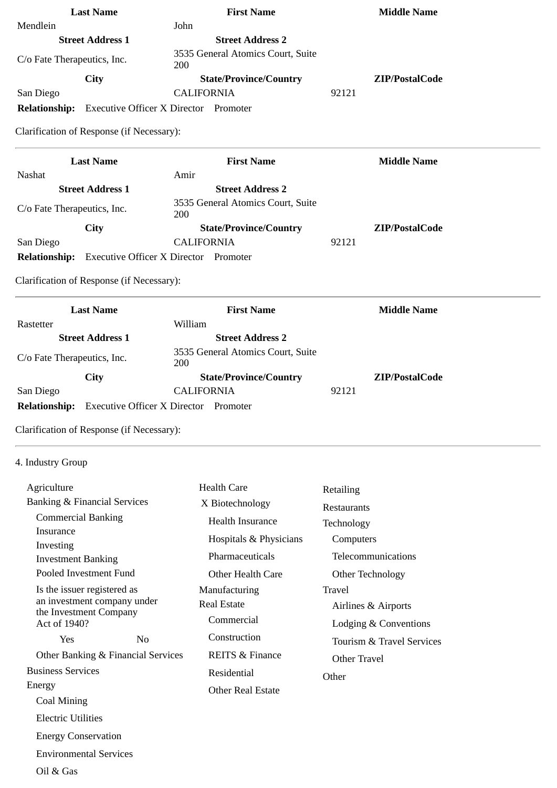| <b>Last Name</b>                                       |                                              | <b>First Name</b>                 | <b>Middle Name</b>        |
|--------------------------------------------------------|----------------------------------------------|-----------------------------------|---------------------------|
| Mendlein                                               | John                                         |                                   |                           |
| <b>Street Address 1</b>                                |                                              | <b>Street Address 2</b>           |                           |
| C/o Fate Therapeutics, Inc.                            | 200                                          | 3535 General Atomics Court, Suite |                           |
| <b>City</b>                                            |                                              | <b>State/Province/Country</b>     | ZIP/PostalCode            |
| San Diego                                              |                                              | <b>CALIFORNIA</b>                 | 92121                     |
| <b>Relationship:</b>                                   | <b>Executive Officer X Director Promoter</b> |                                   |                           |
| Clarification of Response (if Necessary):              |                                              |                                   |                           |
| <b>Last Name</b>                                       |                                              | <b>First Name</b>                 | <b>Middle Name</b>        |
| Nashat                                                 | Amir                                         |                                   |                           |
| <b>Street Address 1</b>                                |                                              | <b>Street Address 2</b>           |                           |
| C/o Fate Therapeutics, Inc.                            | 200                                          | 3535 General Atomics Court, Suite |                           |
| <b>City</b>                                            |                                              | <b>State/Province/Country</b>     | ZIP/PostalCode            |
| San Diego                                              |                                              | <b>CALIFORNIA</b>                 | 92121                     |
| <b>Relationship:</b>                                   | <b>Executive Officer X Director Promoter</b> |                                   |                           |
| Clarification of Response (if Necessary):              |                                              |                                   |                           |
| <b>Last Name</b>                                       |                                              | <b>First Name</b>                 | <b>Middle Name</b>        |
| Rastetter                                              |                                              | William                           |                           |
| <b>Street Address 1</b>                                |                                              | <b>Street Address 2</b>           |                           |
| C/o Fate Therapeutics, Inc.                            | 200                                          | 3535 General Atomics Court, Suite |                           |
| City                                                   |                                              | <b>State/Province/Country</b>     | ZIP/PostalCode            |
|                                                        |                                              |                                   |                           |
| San Diego                                              |                                              | <b>CALIFORNIA</b>                 | 92121                     |
| <b>Relationship:</b>                                   | <b>Executive Officer X Director Promoter</b> |                                   |                           |
| Clarification of Response (if Necessary):              |                                              |                                   |                           |
| 4. Industry Group                                      |                                              |                                   |                           |
|                                                        |                                              |                                   |                           |
| Agriculture<br><b>Banking &amp; Financial Services</b> |                                              | <b>Health Care</b>                | Retailing                 |
| <b>Commercial Banking</b>                              |                                              | X Biotechnology                   | Restaurants               |
| Insurance                                              |                                              | <b>Health Insurance</b>           | Technology                |
| Investing                                              |                                              | Hospitals & Physicians            | Computers                 |
| <b>Investment Banking</b>                              |                                              | Pharmaceuticals                   | Telecommunications        |
| Pooled Investment Fund                                 |                                              | <b>Other Health Care</b>          | Other Technology          |
| Is the issuer registered as                            |                                              | Manufacturing                     | Travel                    |
| an investment company under                            |                                              | <b>Real Estate</b>                | Airlines & Airports       |
| the Investment Company<br>Act of 1940?                 |                                              | Commercial                        | Lodging & Conventions     |
| Yes                                                    | N <sub>o</sub>                               | Construction                      | Tourism & Travel Services |
| Other Banking & Financial Services                     |                                              | <b>REITS &amp; Finance</b>        | <b>Other Travel</b>       |
| <b>Business Services</b>                               |                                              | Residential                       |                           |
| Energy                                                 |                                              | <b>Other Real Estate</b>          | Other                     |
| <b>Coal Mining</b>                                     |                                              |                                   |                           |
| <b>Electric Utilities</b>                              |                                              |                                   |                           |

Environmental Services

Oil & Gas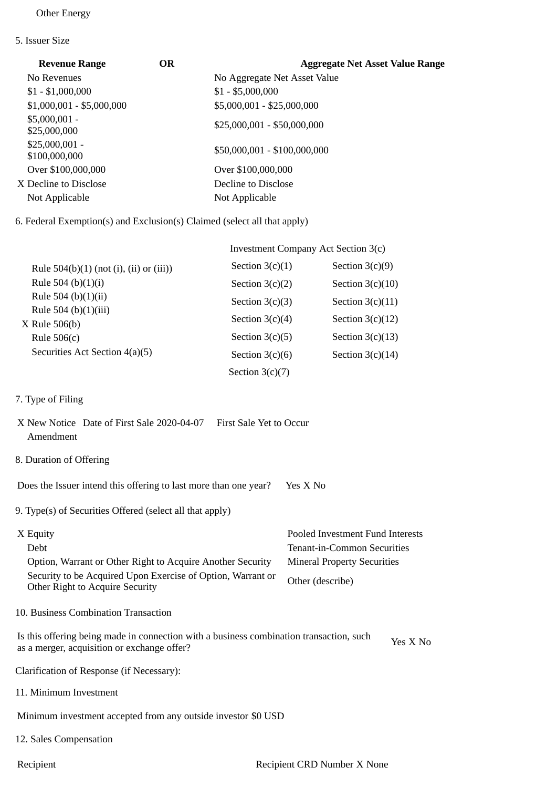## Other Energy

5. Issuer Size

| <b>Revenue Range</b>             | OR | <b>Aggregate Net Asset Value Range</b> |
|----------------------------------|----|----------------------------------------|
| No Revenues                      |    | No Aggregate Net Asset Value           |
| $$1 - $1,000,000$                |    | $$1 - $5,000,000$                      |
| $$1,000,001 - $5,000,000$        |    | \$5,000,001 - \$25,000,000             |
| $$5,000,001 -$<br>\$25,000,000   |    | \$25,000,001 - \$50,000,000            |
| $$25,000,001 -$<br>\$100,000,000 |    | \$50,000,001 - \$100,000,000           |
| Over \$100,000,000               |    | Over \$100,000,000                     |
| X Decline to Disclose            |    | Decline to Disclose                    |
| Not Applicable                   |    | Not Applicable                         |
|                                  |    |                                        |

6. Federal Exemption(s) and Exclusion(s) Claimed (select all that apply)

|                                                | Investment Company Act Section 3(c) |                    |
|------------------------------------------------|-------------------------------------|--------------------|
| Rule $504(b)(1)$ (not (i), (ii) or (iii))      | Section $3(c)(1)$                   | Section $3(c)(9)$  |
| Rule 504 (b) $(1)(i)$                          | Section $3(c)(2)$                   | Section $3(c)(10)$ |
| Rule 504 (b) $(1)(ii)$<br>Rule 504 (b)(1)(iii) | Section $3(c)(3)$                   | Section $3(c)(11)$ |
|                                                | Section $3(c)(4)$                   | Section $3(c)(12)$ |
| $X$ Rule 506(b)<br>Rule $506(c)$               | Section $3(c)(5)$                   | Section $3(c)(13)$ |
| Securities Act Section 4(a)(5)                 | Section $3(c)(6)$                   | Section $3(c)(14)$ |
|                                                | Section $3(c)(7)$                   |                    |

7. Type of Filing

|           | X New Notice Date of First Sale 2020-04-07 | First Sale Yet to Occur |
|-----------|--------------------------------------------|-------------------------|
| Amendment |                                            |                         |

8. Duration of Offering

Does the Issuer intend this offering to last more than one year? Yes X No

9. Type(s) of Securities Offered (select all that apply)

| X Equity                                                                                       | Pooled Investment Fund Interests   |
|------------------------------------------------------------------------------------------------|------------------------------------|
| Debt                                                                                           | Tenant-in-Common Securities        |
| Option, Warrant or Other Right to Acquire Another Security                                     | <b>Mineral Property Securities</b> |
| Security to be Acquired Upon Exercise of Option, Warrant or<br>Other Right to Acquire Security | Other (describe)                   |

10. Business Combination Transaction

Is this offering being made in connection with a business combination transaction, such is this oriering being made in connection with a business combination transaction, such Yes X No<br>as a merger, acquisition or exchange offer?

Clarification of Response (if Necessary):

11. Minimum Investment

Minimum investment accepted from any outside investor \$0 USD

- 12. Sales Compensation
-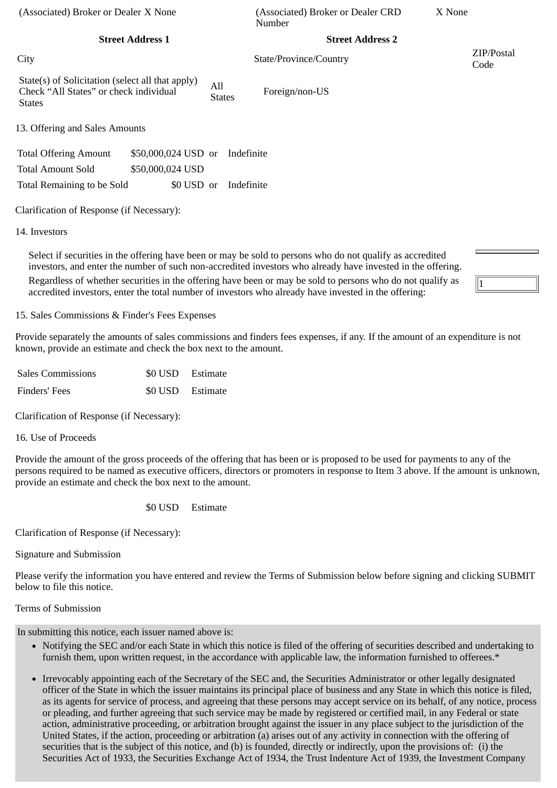| (Associated) Broker or Dealer X None                                                                        |                         |                      |            | (Associated) Broker or Dealer CRD<br>Number | X None |                    |
|-------------------------------------------------------------------------------------------------------------|-------------------------|----------------------|------------|---------------------------------------------|--------|--------------------|
|                                                                                                             | <b>Street Address 1</b> |                      |            | <b>Street Address 2</b>                     |        |                    |
| City                                                                                                        |                         |                      |            | State/Province/Country                      |        | ZIP/Postal<br>Code |
| State(s) of Solicitation (select all that apply)<br>Check "All States" or check individual<br><b>States</b> |                         | All<br><b>States</b> |            | Foreign/non-US                              |        |                    |
| 13. Offering and Sales Amounts                                                                              |                         |                      |            |                                             |        |                    |
| <b>Total Offering Amount</b>                                                                                | \$50,000,024 USD or     |                      | Indefinite |                                             |        |                    |
| <b>Total Amount Sold</b>                                                                                    | \$50,000,024 USD        |                      |            |                                             |        |                    |
| Total Remaining to be Sold                                                                                  | \$0 USD or              |                      | Indefinite |                                             |        |                    |
| Clarification of Response (if Necessary):                                                                   |                         |                      |            |                                             |        |                    |
| 14. Investors                                                                                               |                         |                      |            |                                             |        |                    |

Select if securities in the offering have been or may be sold to persons who do not qualify as accredited investors, and enter the number of such non-accredited investors who already have invested in the offering. Regardless of whether securities in the offering have been or may be sold to persons who do not qualify as accredited investors, enter the total number of investors who already have invested in the offering:

15. Sales Commissions & Finder's Fees Expenses

Provide separately the amounts of sales commissions and finders fees expenses, if any. If the amount of an expenditure is not known, provide an estimate and check the box next to the amount.

1

| <b>Sales Commissions</b> | \$0 USD Estimate |
|--------------------------|------------------|
| Finders' Fees            | \$0 USD Estimate |

Clarification of Response (if Necessary):

## 16. Use of Proceeds

Provide the amount of the gross proceeds of the offering that has been or is proposed to be used for payments to any of the persons required to be named as executive officers, directors or promoters in response to Item 3 above. If the amount is unknown, provide an estimate and check the box next to the amount.

\$0 USD Estimate

Clarification of Response (if Necessary):

Signature and Submission

Please verify the information you have entered and review the Terms of Submission below before signing and clicking SUBMIT below to file this notice.

# Terms of Submission

In submitting this notice, each issuer named above is:

- Notifying the SEC and/or each State in which this notice is filed of the offering of securities described and undertaking to furnish them, upon written request, in the accordance with applicable law, the information furnished to offerees.\*
- Irrevocably appointing each of the Secretary of the SEC and, the Securities Administrator or other legally designated officer of the State in which the issuer maintains its principal place of business and any State in which this notice is filed, as its agents for service of process, and agreeing that these persons may accept service on its behalf, of any notice, process or pleading, and further agreeing that such service may be made by registered or certified mail, in any Federal or state action, administrative proceeding, or arbitration brought against the issuer in any place subject to the jurisdiction of the United States, if the action, proceeding or arbitration (a) arises out of any activity in connection with the offering of securities that is the subject of this notice, and (b) is founded, directly or indirectly, upon the provisions of: (i) the Securities Act of 1933, the Securities Exchange Act of 1934, the Trust Indenture Act of 1939, the Investment Company